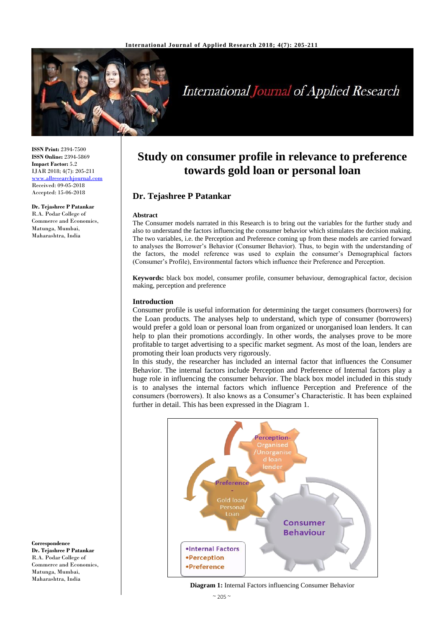

# **International Journal of Applied Research**

**ISSN Print:** 2394-7500 **ISSN Online:** 2394-5869 **Impact Factor:** 5.2 IJAR 2018; 4(7): 205-211 <www.allresearchjournal.com> Received: 09-05-2018 Accepted: 15-06-2018

**Dr. Tejashree P Patankar** R.A. Podar College of Commerce and Economics, Matunga, Mumbai, Maharashtra, India

**Study on consumer profile in relevance to preference towards gold loan or personal loan**

# **Dr. Tejashree P Patankar**

#### **Abstract**

The Consumer models narrated in this Research is to bring out the variables for the further study and also to understand the factors influencing the consumer behavior which stimulates the decision making. The two variables, i.e. the Perception and Preference coming up from these models are carried forward to analyses the Borrower's Behavior (Consumer Behavior). Thus, to begin with the understanding of the factors, the model reference was used to explain the consumer's Demographical factors (Consumer's Profile), Environmental factors which influence their Preference and Perception.

**Keywords:** black box model, consumer profile, consumer behaviour, demographical factor, decision making, perception and preference

#### **Introduction**

Consumer profile is useful information for determining the target consumers (borrowers) for the Loan products. The analyses help to understand, which type of consumer (borrowers) would prefer a gold loan or personal loan from organized or unorganised loan lenders. It can help to plan their promotions accordingly. In other words, the analyses prove to be more profitable to target advertising to a specific market segment. As most of the loan, lenders are promoting their loan products very rigorously.

In this study, the researcher has included an internal factor that influences the Consumer Behavior. The internal factors include Perception and Preference of Internal factors play a huge role in influencing the consumer behavior. The black box model included in this study is to analyses the internal factors which influence Perception and Preference of the consumers (borrowers). It also knows as a Consumer's Characteristic. It has been explained further in detail. This has been expressed in the Diagram 1.



**Diagram 1:** Internal Factors influencing Consumer Behavior

**Correspondence Dr. Tejashree P Patankar** R.A. Podar College of Commerce and Economics, Matunga, Mumbai, Maharashtra, India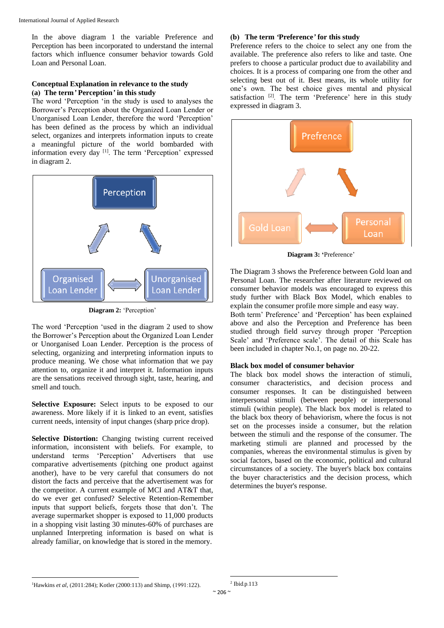In the above diagram 1 the variable Preference and Perception has been incorporated to understand the internal factors which influence consumer behavior towards Gold Loan and Personal Loan.

#### **Conceptual Explanation in relevance to the study (a) The term***'* **Perception***'* **in this study**

The word 'Perception 'in the study is used to analyses the Borrower's Perception about the Organized Loan Lender or Unorganised Loan Lender, therefore the word 'Perception' has been defined as the process by which an individual select, organizes and interprets information inputs to create a meaningful picture of the world bombarded with information every day [1]. The term 'Perception' expressed in diagram 2.



**Diagram 2:** 'Perception'

The word 'Perception 'used in the diagram 2 used to show the Borrower's Perception about the Organized Loan Lender or Unorganised Loan Lender. Perception is the process of selecting, organizing and interpreting information inputs to produce meaning. We chose what information that we pay attention to, organize it and interpret it. Information inputs are the sensations received through sight, taste, hearing, and smell and touch.

**Selective Exposure:** Select inputs to be exposed to our awareness. More likely if it is linked to an event, satisfies current needs, intensity of input changes (sharp price drop).

**Selective Distortion:** Changing twisting current received information, inconsistent with beliefs. For example, to understand terms 'Perception' Advertisers that use comparative advertisements (pitching one product against another), have to be very careful that consumers do not distort the facts and perceive that the advertisement was for the competitor. A current example of MCI and AT&T that, do we ever get confused? Selective Retention-Remember inputs that support beliefs, forgets those that don't. The average supermarket shopper is exposed to 11,000 products in a shopping visit lasting 30 minutes-60% of purchases are unplanned Interpreting information is based on what is already familiar, on knowledge that is stored in the memory.

### **(b) The term** *'***Preference***'* **for this study**

Preference refers to the choice to select any one from the available. The preference also refers to like and taste. One prefers to choose a particular product due to availability and choices. It is a process of comparing one from the other and selecting best out of it. Best means, its whole utility for one's own. The best choice gives mental and physical satisfaction<sup>[2]</sup>. The term 'Preference' here in this study expressed in diagram 3.



**Diagram 3: '**Preference'

The Diagram 3 shows the Preference between Gold loan and Personal Loan. The researcher after literature reviewed on consumer behavior models was encouraged to express this study further with Black Box Model, which enables to explain the consumer profile more simple and easy way.

Both term' Preference' and 'Perception' has been explained above and also the Perception and Preference has been studied through field survey through proper 'Perception Scale' and 'Preference scale'. The detail of this Scale has been included in chapter No.1, on page no. 20-22.

## **Black box model of consumer behavior**

The black box model shows the interaction of stimuli, consumer characteristics, and decision process and consumer responses. It can be distinguished between interpersonal stimuli (between people) or interpersonal stimuli (within people). The black box model is related to the black box theory of behaviorism, where the focus is not set on the processes inside a consumer, but the relation between the stimuli and the response of the consumer. The marketing stimuli are planned and processed by the companies, whereas the environmental stimulus is given by social factors, based on the economic, political and cultural circumstances of a society. The buyer's black box contains the buyer characteristics and the decision process, which determines the buyer's response.

 $\overline{\phantom{a}}$ <sup>1</sup>Hawkins *et al*, (2011:284); Kotler (2000:113) and Shimp, (1991:122).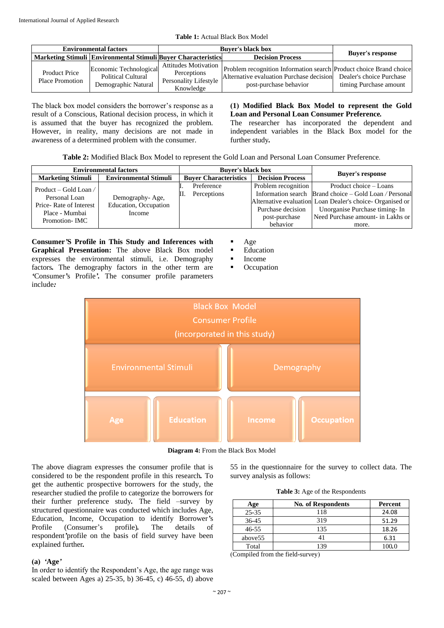| <b>Environmental factors</b>                   |                                                                            | <b>Buver's black box</b>                          |                                                                                                                                                                                            |                         |
|------------------------------------------------|----------------------------------------------------------------------------|---------------------------------------------------|--------------------------------------------------------------------------------------------------------------------------------------------------------------------------------------------|-------------------------|
|                                                | <b>Marketing Stimuli Environmental Stimuli Buver Characteristics</b>       |                                                   | <b>Decision Process</b>                                                                                                                                                                    | <b>Buyer's response</b> |
| <b>Product Price</b><br><b>Place Promotion</b> | Economic Technological<br><b>Political Cultural</b><br>Demographic Natural | Perceptions<br>Personality Lifestyle<br>Knowledge | Attitudes Motivation   Problem recognition Information search   Product choice Brand choice<br>Alternative evaluation Purchase decision Dealer's choice Purchase<br>post-purchase behavior | timing Purchase amount  |

**Table 1:** Actual Black Box Model

The black box model considers the borrower's response as a result of a Conscious, Rational decision process, in which it is assumed that the buyer has recognized the problem. However, in reality, many decisions are not made in awareness of a determined problem with the consumer.

# **(1) Modified Black Box Model to represent the Gold Loan and Personal Loan Consumer Preference***.*

The researcher has incorporated the dependent and independent variables in the Black Box model for the further study*.*

|  |  | <b>Table 2:</b> Modified Black Box Model to represent the Gold Loan and Personal Loan Consumer Preference. |  |  |  |
|--|--|------------------------------------------------------------------------------------------------------------|--|--|--|
|  |  |                                                                                                            |  |  |  |

|                                                            | <b>Environmental factors</b> | <b>Buver's black box</b>     |                                   |                                                          |
|------------------------------------------------------------|------------------------------|------------------------------|-----------------------------------|----------------------------------------------------------|
| <b>Marketing Stimuli</b>                                   | <b>Environmental Stimuli</b> | <b>Buyer Characteristics</b> | <b>Decision Process</b>           | <b>Buyer's response</b>                                  |
| Product – Gold Loan /                                      |                              | Preference                   | Problem recognition               | Product choice – Loans                                   |
| Personal Loan<br>Demography-Age,<br>Price-Rate of Interest |                              | Perceptions<br>Ш.            |                                   | Information search Brand choice – Gold Loan / Personal   |
|                                                            | Education, Occupation        |                              |                                   | Alternative evaluation Loan Dealer's choice-Organised or |
| Place - Mumbai                                             | Income                       |                              | Purchase decision                 | Unorganise Purchase timing- In                           |
| Promotion-IMC                                              |                              | post-purchase                | Need Purchase amount- in Lakhs or |                                                          |
|                                                            |                              |                              | behavior                          | more.                                                    |

**Consumer***'***S Profile in This Study and Inferences with Graphical Presentation:** The above Black Box model expresses the environmental stimuli, i.e. Demography factors*.* The demography factors in the other term are *'*Consumer*'*s Profile*'.* The consumer profile parameters include*:*

Age

**Education** 

- Income
- Occupation



**Diagram 4:** From the Black Box Model

The above diagram expresses the consumer profile that is considered to be the respondent profile in this research*.* To get the authentic prospective borrowers for the study, the researcher studied the profile to categorize the borrowers for their further preference study*.* The field –survey by structured questionnaire was conducted which includes Age, Education, Income, Occupation to identify Borrower*'*s Profile (Consumer's profile)*.* The details of respondent*'*profile on the basis of field survey have been explained further*.*

## **(a)** *'***Age***'*

In order to identify the Respondent's Age, the age range was scaled between Ages a) 25-35, b) 36-45, c) 46-55, d) above

55 in the questionnaire for the survey to collect data. The survey analysis as follows:

|  |  |  | Table 3: Age of the Respondents |
|--|--|--|---------------------------------|
|--|--|--|---------------------------------|

| Age       | <b>No. of Respondents</b> | Percent |
|-----------|---------------------------|---------|
| $25 - 35$ | 118                       | 24.08   |
| 36-45     | 319                       | 51.29   |
| 46-55     | 135                       | 18.26   |
| above 55  |                           | 6.31    |
| Total     |                           |         |

(Compiled from the field**-**survey)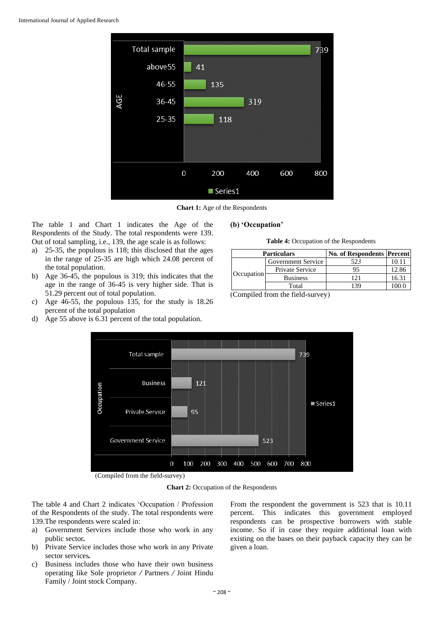

**Chart 1:** Age of the Respondents

The table 1 and Chart 1 indicates the Age of the Respondents of the Study. The total respondents were 139. Out of total sampling, i.e., 139, the age scale is as follows:

- a) 25-35, the populous is 118; this disclosed that the ages in the range of 25-35 are high which 24.08 percent of the total population.
- b) Age 36-45, the populous is 319; this indicates that the age in the range of 36-45 is very higher side. That is 51.29 percent out of total population.
- c) Age 46-55, the populous 135, for the study is 18.26 percent of the total population
- d) Age 55 above is 6.31 percent of the total population.

#### **(b) 'Occupation'**

**Table 4:** Occupation of the Respondents

|            | <b>Particulars</b> | <b>No. of Respondents Percent</b> |       |
|------------|--------------------|-----------------------------------|-------|
| Occupation | Government Service | 523                               | 10.11 |
|            | Private Service    |                                   | 12.86 |
|            | <b>Business</b>    | 171                               | 16.31 |
|            | Total              | 139                               | (00)  |

<sup>(</sup>Compiled from the field**-**survey)



(Compiled from the field**-**survey)

**Chart 2:** Occupation of the Respondents

The table 4 and Chart 2 indicates 'Occupation / Profession of the Respondents of the study. The total respondents were 139.The respondents were scaled in:

- a) Government Services include those who work in any public sector*.*
- b) Private Service includes those who work in any Private sector services*.*
- c) Business includes those who have their own business operating like Sole proprietor */* Partners */* Joint Hindu Family / Joint stock Company.

From the respondent the government is 523 that is 10.11 percent. This indicates this government employed respondents can be prospective borrowers with stable income. So if in case they require additional loan with existing on the bases on their payback capacity they can be given a loan.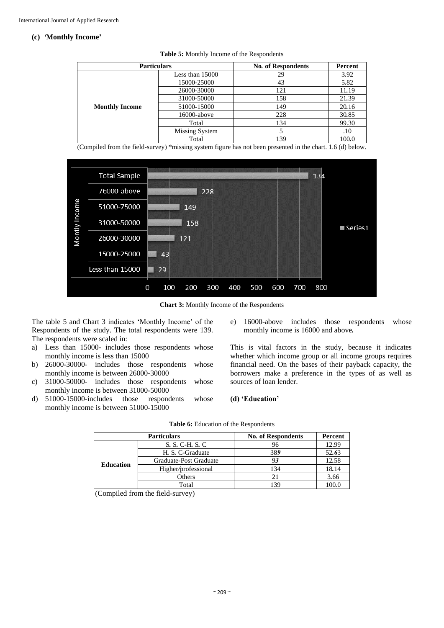## **(c)** *'***Monthly Income'**

| <b>Particulars</b>    |                   | <b>No. of Respondents</b> | Percent |
|-----------------------|-------------------|---------------------------|---------|
|                       | Less than $15000$ | 29                        | 3.92    |
|                       | 15000-25000       | 43                        | 5.82    |
|                       | 26000-30000       | 121                       | 11.19   |
|                       | 31000-50000       | 158                       | 21.39   |
| <b>Monthly Income</b> | 51000-15000       | 149                       | 20.16   |
|                       | 16000-above       | 228                       | 30.85   |
|                       | Total             | 134                       | 99.30   |
|                       | Missing System    |                           | .10     |
|                       | Total             | 139                       | 100.0   |

**Table 5:** Monthly Income of the Respondents

(Compiled from the field-survey) \*missing system figure has not been presented in the chart. 1.6 (d) below.



**Chart 3:** Monthly Income of the Respondents

The table 5 and Chart 3 indicates 'Monthly Income' of the Respondents of the study. The total respondents were 139. The respondents were scaled in:

- a) Less than 15000- includes those respondents whose monthly income is less than 15000
- b) 26000*-*30000- includes those respondents whose monthly income is between 26000*-*30000
- c) 31000*-*50000- includes those respondents whose monthly income is between 31000*-*50000
- d) 51000*-*15000-includes those respondents whose monthly income is between 51000*-*15000
- e) 16000-above includes those respondents whose monthly income is 16000 and above*.*

This is vital factors in the study, because it indicates whether which income group or all income groups requires financial need. On the bases of their payback capacity, the borrowers make a preference in the types of as well as sources of loan lender.

#### **(d) 'Education'**

|                  | <b>Particulars</b>     | <b>No. of Respondents</b> | Percent |
|------------------|------------------------|---------------------------|---------|
|                  | S. S. C-H. S. C        |                           | 12.99   |
|                  | H. S. C-Graduate       | 389                       | 52.63   |
| <b>Education</b> | Graduate-Post Graduate |                           | 12.58   |
|                  | Higher/professional    | 134                       | 18.14   |
|                  | Others                 |                           | 3.66    |
|                  | Total                  |                           | 100.0   |

#### **Table 6:** Education of the Respondents

(Compiled from the field-survey)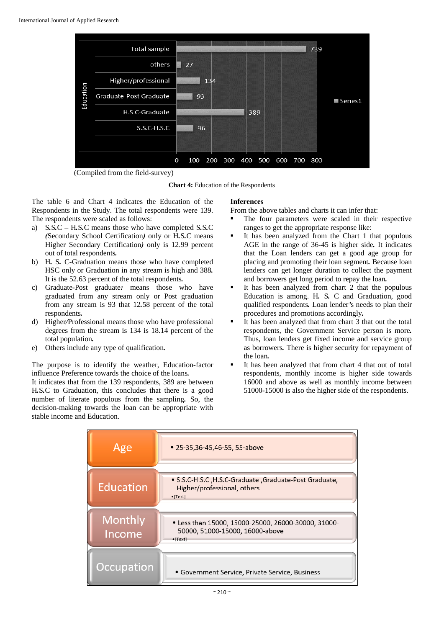

(Compiled from the field-survey)

**Chart 4:** Education of the Respondents

The table 6 and Chart 4 indicates the Education of the Respondents in the Study. The total respondents were 139. The respondents were scaled as follows:

- a) S*.*S*.*C *–* H*.*S*.*C means those who have completed S*.*S*.*C *(*Secondary School Certification*)* only or H*.*S*.*C means Higher Secondary Certification*)* only is 12.99 percent out of total respondents*.*
- b) H*.* S*.* C*-*Graduation means those who have completed HSC only or Graduation in any stream is high and 388*.*  It is the 52.63 percent of the total respondents*.*
- c) Graduate*-*Post graduate*:* means those who have graduated from any stream only or Post graduation from any stream is 93 that 12*.*58 percent of the total respondents*.*
- d) Higher*/*Professional means those who have professional degrees from the stream is 134 is 18.14 percent of the total population*.*
- e) Others include any type of qualification*.*

The purpose is to identify the weather, Education*-*factor influence Preference towards the choice of the loans*.*

It indicates that from the 139 respondents, 389 are between H*.*S*.*C to Graduation, this concludes that there is a good number of literate populous from the sampling*.* So, the decision*-*making towards the loan can be appropriate with stable income and Education.

## **Inferences**

From the above tables and charts it can infer that:

- The four parameters were scaled in their respective ranges to get the appropriate response like:
- It has been analyzed from the Chart 1 that populous AGE in the range of 36*-*45 is higher side*.* It indicates that the Loan lenders can get a good age group for placing and promoting their loan segment*.* Because loan lenders can get longer duration to collect the payment and borrowers get long period to repay the loan*.*
- It has been analyzed from chart 2 that the populous Education is among. H*.* S*.* C and Graduation, good qualified respondents*.* Loan lender*'*s needs to plan their procedures and promotions accordingly*.*
- It has been analyzed that from chart 3 that out the total respondents, the Government Service person is more*.*  Thus, loan lenders get fixed income and service group as borrowers*.* There is higher security for repayment of the loan*.*
- It has been analyzed that from chart 4 that out of total respondents, monthly income is higher side towards 16000 and above as well as monthly income between 51000*-*15000 is also the higher side of the respondents.

| Age                      | • 25-35, 36-45, 46-55, 55-above                                                                             |
|--------------------------|-------------------------------------------------------------------------------------------------------------|
| <b>Education</b>         | • S.S.C-H.S.C , H.S.C-Graduate , Graduate-Post Graduate,<br>Higher/professional, others<br>$\bullet$ [Text] |
| <b>Monthly</b><br>Income | • Less than 15000, 15000-25000, 26000-30000, 31000-<br>50000, 51000-15000, 16000-above<br>$\bullet$ [Text]  |
| <b>Occupation</b>        | • Government Service, Private Service, Business                                                             |